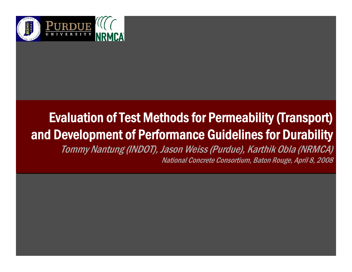

#### Evaluation of Test Methods for Permeability (Transport) Evaluation of Test Methods for Permeability (Transport) and Development of Performance Guidelines for Durability and Development of Performance Guidelines for Durability

Tommy Nantung (INDOT), Jason Weiss (Purdue), Karthik Obla (NRMCA) Tommy Nantung (INDOT), Jason Weiss (Purdue), Karthik Obla (NRMCA) National Concrete Consortium, Baton Rouge, April 8, 2008 National Concrete Consortium, Baton Rouge, April 8, 2008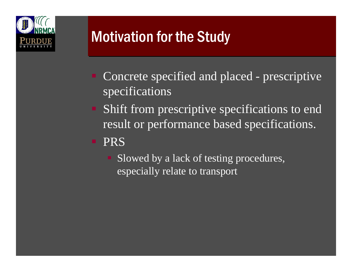

# **Motivation for the Study**

- Concrete specified and placed prescriptive specifications
- Shift from prescriptive specifications to end result or performance based specifications.

#### PRS

 Slowed by a lack of testing procedures, especially relate to transport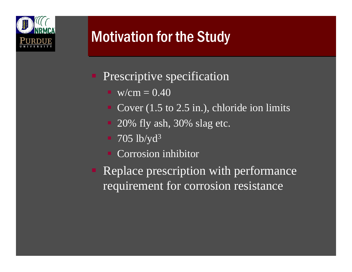

# **Motivation for the Study**

- Prescriptive specification
	- $\blacksquare$  w/cm = 0.40
	- Cover (1.5 to 2.5 in.), chloride ion limits
	- 20% fly ash, 30% slag etc.
	- $\blacksquare$  705 lb/yd<sup>3</sup>
	- Corrosion inhibitor
- Replace prescription with performance requirement for corrosion resistance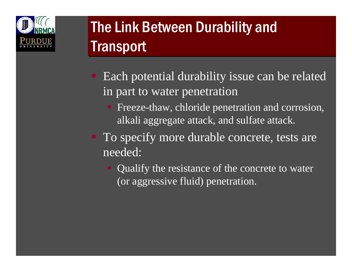

# The Link Between Durability and The Link Between Durability and Transport Transport

- Each potential durability issue can be related in part to water penetration
	- **Figure-thaw, chloride penetration and corrosion,** alkali aggregate attack, and sulfate attack.
- To specify more durable concrete, tests are needed:
	- Qualify the resistance of the concrete to water (or aggressive fluid) penetration.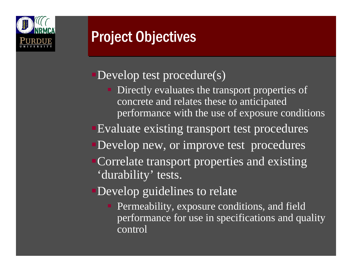

# **Project Objectives**

#### Develop test procedure(s)

- Directly evaluates the transport properties of concrete and relates these to anticipated performance with the use of exposure conditions
- Evaluate existing transport test procedures
- Develop new, or improve test procedures
- Correlate transport properties and existing 'durability' tests.

#### Develop guidelines to relate

**Permeability, exposure conditions, and field** performance for use in specifications and quality control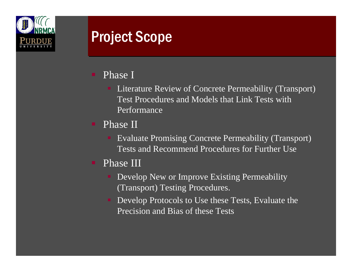

## **Project Scope**

- Phase I
	- **Literature Review of Concrete Permeability (Transport)** Test Procedures and Models that Link Tests with Performance
- Phase II
	- Evaluate Promising Concrete Permeability (Transport) Tests and Recommend Procedures for Further Use
- Phase III
	- Develop New or Improve Existing Permeability (Transport) Testing Procedures.
	- Develop Protocols to Use these Tests, Evaluate the Precision and Bias of these Tests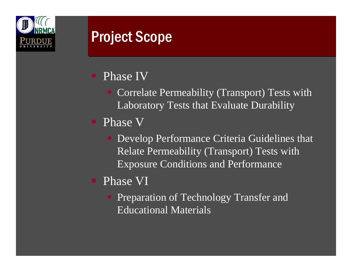

## **Project Scope**

#### Phase IV

- Correlate Permeability (Transport) Tests with Laboratory Tests that Evaluate Durability
- Phase V
	- **Develop Performance Criteria Guidelines that** Relate Permeability (Transport) Tests with Exposure Conditions and Performance
- Phase VI
	- **Preparation of Technology Transfer and** Educational Materials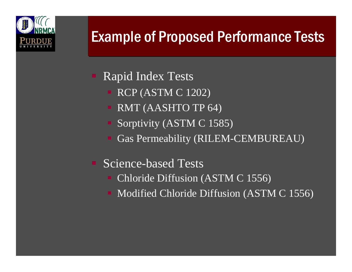

# **Example of Proposed Performance Tests**

- Rapid Index Tests
	- $\blacksquare$  RCP (ASTM C 1202)
	- RMT (AASHTO TP 64)
	- Sorptivity (ASTM C 1585)
	- Gas Permeability (RILEM-CEMBUREAU)
- Science-based Tests
	- Chloride Diffusion (ASTM C 1556)
	- Modified Chloride Diffusion (ASTM C 1556)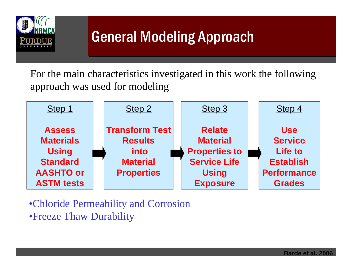

# General Modeling Approach General Modeling Approach

For the main characteristics investigated in this work the following approach was used for modeling



•Chloride Permeability and Corrosion •Freeze Thaw Durability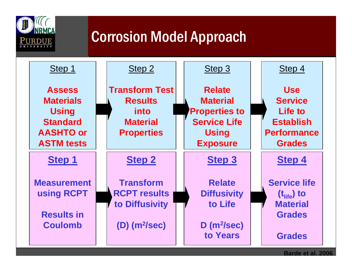

# Corrosion Model Approach Corrosion Model Approach



**Barde et al. 2006**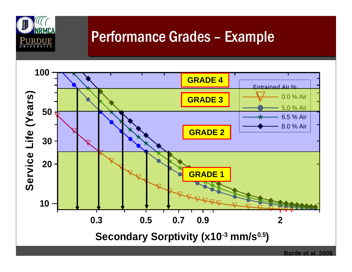

### Performance Grades – Example

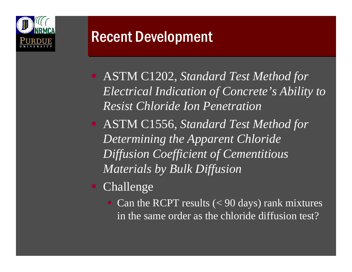

## **Recent Development**

- ASTM C1202, *Standard Test Method for Electrical Indication of Concrete's Ability to Resist Chloride Ion Penetration*
- ASTM C1556, *Standard Test Method for Determining the Apparent Chloride Diffusion Coefficient of Cementitious Materials by Bulk Diffusion*
- Challenge
	- Can the RCPT results  $(< 90 \text{ days})$  rank mixtures in the same order as the chloride diffusion test?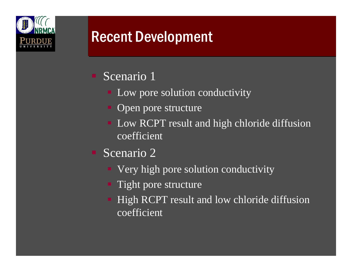

## **Recent Development**

- **Scenario** 1
	- Low pore solution conductivity
	- Open pore structure
	- Low RCPT result and high chloride diffusion coefficient
- Scenario 2
	- Very high pore solution conductivity
	- **Tight pore structure**
	- High RCPT result and low chloride diffusion coefficient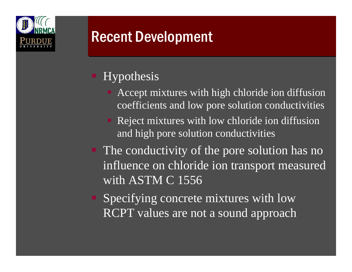

## **Recent Development**

#### Hypothesis

- **Accept mixtures with high chloride ion diffusion** coefficients and low pore solution conductivities
- Reject mixtures with low chloride ion diffusion and high pore solution conductivities
- The conductivity of the pore solution has no influence on chloride ion transport measured with ASTM C 1556
- Specifying concrete mixtures with low RCPT values are not a sound approach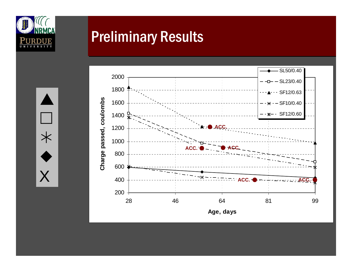



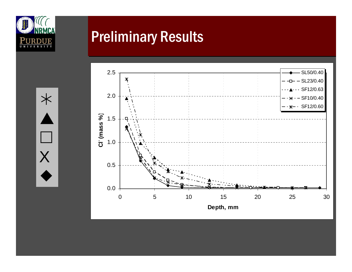

¼

 $\blacktriangle$ 

 $\mathbb{R}^n$ 

 ${\sf X}$ 

 $\blacklozenge$ 

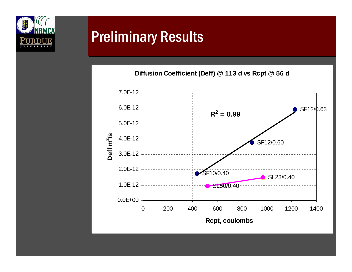

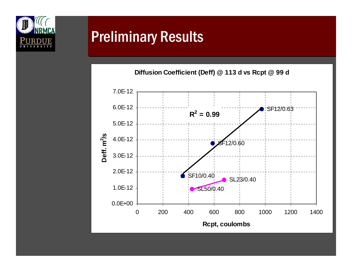

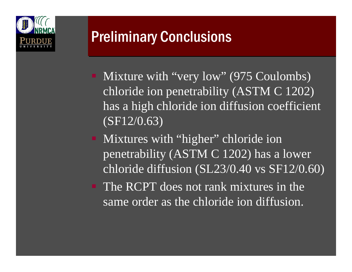

# Preliminary Conclusions Preliminary Conclusions

- Mixture with "very low" (975 Coulombs) chloride ion penetrability (ASTM C 1202) has a high chloride ion diffusion coefficient  $($ SF12/0.63)
- Mixtures with "higher" chloride ion penetrability (ASTM C 1202) has a lower chloride diffusion (SL23/0.40 vs SF12/0.60)
- The RCPT does not rank mixtures in the same order as the chloride ion diffusion.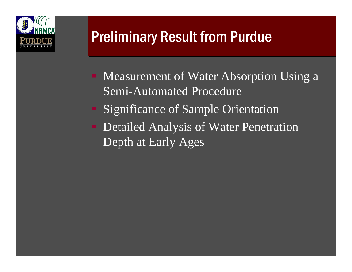

# **Preliminary Result from Purdue**

- Measurement of Water Absorption Using a Semi-Automated Procedure
- Significance of Sample Orientation
- Detailed Analysis of Water Penetration Depth at Early Ages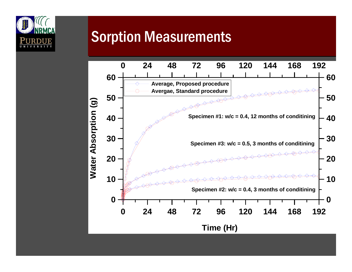

### **Sorption Measurements**

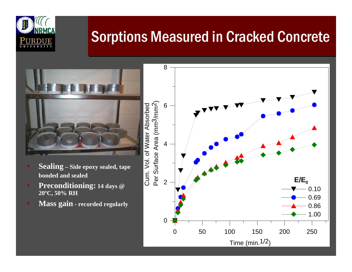

# **Sorptions Measured in Cracked Concrete**

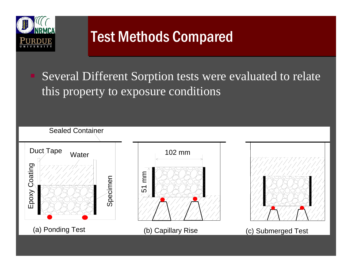

# **Test Methods Compared**

 Several Different Sorption tests were evaluated to relate this property to exposure conditions

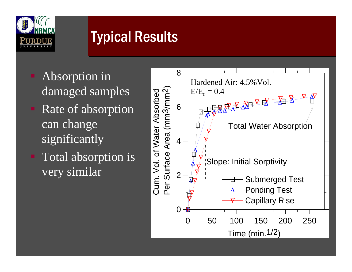

# **Typical Results**

- Absorption in damaged samples
- Rate of absorption can change significantly
- Total absorption is very similar

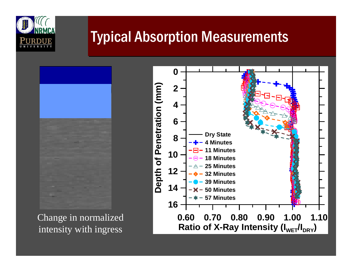

## **Typical Absorption Measurements**

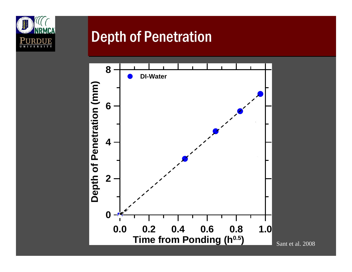

### **Depth of Penetration**



Sant et al. 2008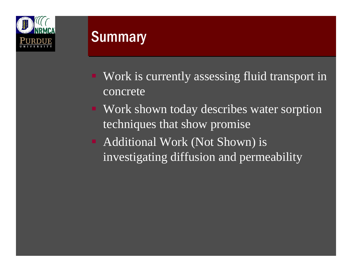

#### **Summary**

- Work is currently assessing fluid transport in concrete
- Work shown today describes water sorption techniques that show promise
- Additional Work (Not Shown) is investigating diffusion and permeability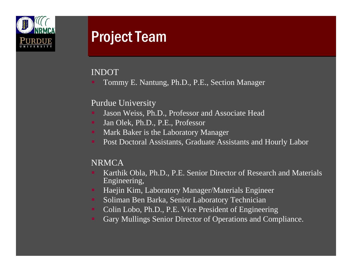

#### **Project Team**

#### INDOT

Tommy E. Nantung, Ph.D., P.E., Section Manager

#### Purdue University

- Jason Weiss, Ph.D., Professor and Associate Head
- m. Jan Olek, Ph.D., P.E., Professor
- ж. Mark Baker is the Laboratory Manager
- m. Post Doctoral Assistants, Graduate Assistants and Hourly Labor

#### **NRMCA**

- Karthik Obla, Ph.D., P.E. Senior Director of Research and Materials Engineering,
- m. Haejin Kim, Laboratory Manager/Materials Engineer
- ж. Soliman Ben Barka, Senior Laboratory Technician
- m. Colin Lobo, Ph.D., P.E. Vice President of Engineering
- Gary Mullings Senior Director of Operations and Compliance.